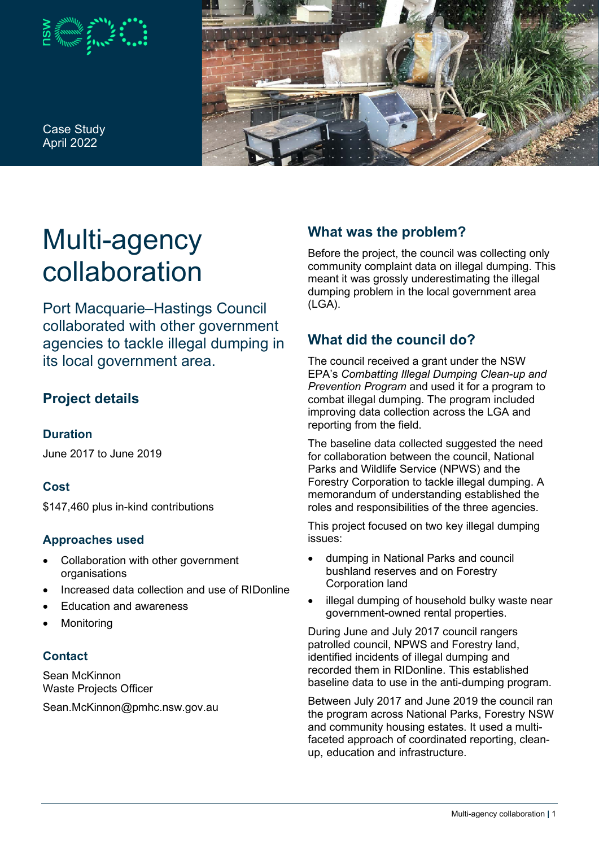

Case Study April 2022



# Multi-agency collaboration

Port Macquarie–Hastings Council collaborated with other government agencies to tackle illegal dumping in its local government area.

# **Project details**

## **Duration**

June 2017 to June 2019

## **Cost**

\$147,460 plus in-kind contributions

## **Approaches used**

- Collaboration with other government organisations
- Increased data collection and use of RIDonline
- Education and awareness
- **Monitoring**

#### **Contact**

Sean McKinnon Waste Projects Officer

Sean.McKinnon@pmhc.nsw.gov.au

# **What was the problem?**

Before the project, the council was collecting only community complaint data on illegal dumping. This meant it was grossly underestimating the illegal dumping problem in the local government area (LGA).

# **What did the council do?**

The council received a grant under the NSW EPA's *Combatting Illegal Dumping Clean-up and Prevention Program* and used it for a program to combat illegal dumping. The program included improving data collection across the LGA and reporting from the field.

The baseline data collected suggested the need for collaboration between the council, National Parks and Wildlife Service (NPWS) and the Forestry Corporation to tackle illegal dumping. A memorandum of understanding established the roles and responsibilities of the three agencies.

This project focused on two key illegal dumping issues:

- dumping in National Parks and council bushland reserves and on Forestry Corporation land
- illegal dumping of household bulky waste near government-owned rental properties.

During June and July 2017 council rangers patrolled council, NPWS and Forestry land, identified incidents of illegal dumping and recorded them in RIDonline. This established baseline data to use in the anti-dumping program.

Between July 2017 and June 2019 the council ran the program across National Parks, Forestry NSW and community housing estates. It used a multifaceted approach of coordinated reporting, cleanup, education and infrastructure.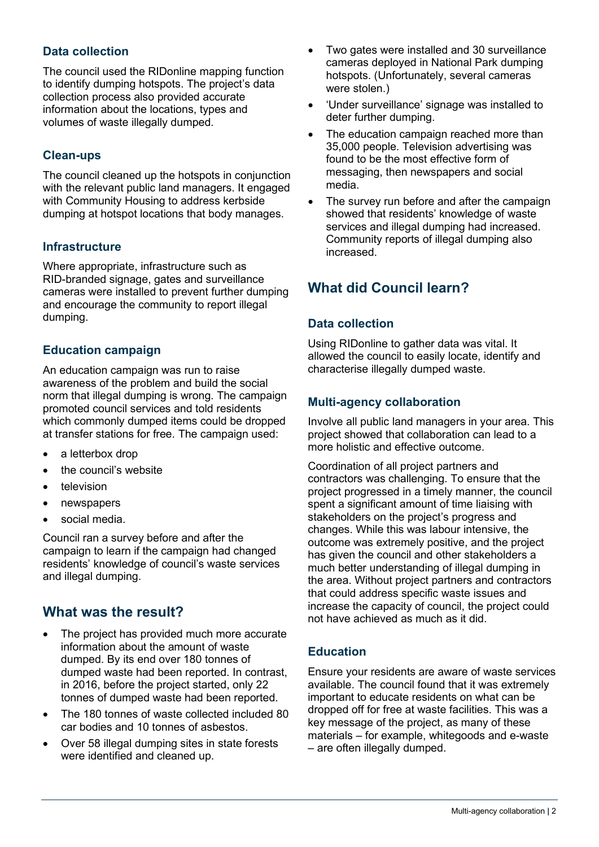## **Data collection**

The council used the RIDonline mapping function to identify dumping hotspots. The project's data collection process also provided accurate information about the locations, types and volumes of waste illegally dumped.

#### **Clean-ups**

The council cleaned up the hotspots in conjunction with the relevant public land managers. It engaged with Community Housing to address kerbside dumping at hotspot locations that body manages.

#### **Infrastructure**

Where appropriate, infrastructure such as RID-branded signage, gates and surveillance cameras were installed to prevent further dumping and encourage the community to report illegal dumping.

#### **Education campaign**

An education campaign was run to raise awareness of the problem and build the social norm that illegal dumping is wrong. The campaign promoted council services and told residents which commonly dumped items could be dropped at transfer stations for free. The campaign used:

- a letterbox drop
- the council's website
- television
- newspapers
- social media.

Council ran a survey before and after the campaign to learn if the campaign had changed residents' knowledge of council's waste services and illegal dumping.

# **What was the result?**

- The project has provided much more accurate information about the amount of waste dumped. By its end over 180 tonnes of dumped waste had been reported. In contrast, in 2016, before the project started, only 22 tonnes of dumped waste had been reported.
- The 180 tonnes of waste collected included 80 car bodies and 10 tonnes of asbestos.
- Over 58 illegal dumping sites in state forests were identified and cleaned up.
- Two gates were installed and 30 surveillance cameras deployed in National Park dumping hotspots. (Unfortunately, several cameras were stolen.)
- 'Under surveillance' signage was installed to deter further dumping.
- The education campaign reached more than 35,000 people. Television advertising was found to be the most effective form of messaging, then newspapers and social media.
- The survey run before and after the campaign showed that residents' knowledge of waste services and illegal dumping had increased. Community reports of illegal dumping also increased.

# **What did Council learn?**

#### **Data collection**

Using RIDonline to gather data was vital. It allowed the council to easily locate, identify and characterise illegally dumped waste.

#### **Multi-agency collaboration**

Involve all public land managers in your area. This project showed that collaboration can lead to a more holistic and effective outcome.

Coordination of all project partners and contractors was challenging. To ensure that the project progressed in a timely manner, the council spent a significant amount of time liaising with stakeholders on the project's progress and changes. While this was labour intensive, the outcome was extremely positive, and the project has given the council and other stakeholders a much better understanding of illegal dumping in the area. Without project partners and contractors that could address specific waste issues and increase the capacity of council, the project could not have achieved as much as it did.

#### **Education**

Ensure your residents are aware of waste services available. The council found that it was extremely important to educate residents on what can be dropped off for free at waste facilities. This was a key message of the project, as many of these materials – for example, whitegoods and e-waste – are often illegally dumped.